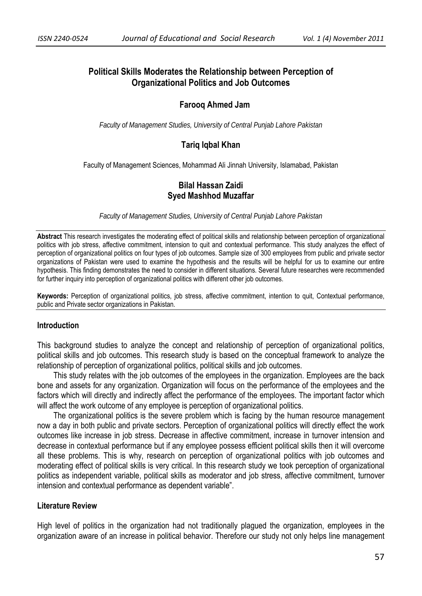# **Political Skills Moderates the Relationship between Perception of Organizational Politics and Job Outcomes**

## **Farooq Ahmed Jam**

*Faculty of Management Studies, University of Central Punjab Lahore Pakistan*

## **Tariq Iqbal Khan**

Faculty of Management Sciences, Mohammad Ali Jinnah University, Islamabad, Pakistan

## **Bilal Hassan Zaidi Syed Mashhod Muzaffar**

*Faculty of Management Studies, University of Central Punjab Lahore Pakistan* 

**Abstract** This research investigates the moderating effect of political skills and relationship between perception of organizational politics with job stress, affective commitment, intension to quit and contextual performance. This study analyzes the effect of perception of organizational politics on four types of job outcomes. Sample size of 300 employees from public and private sector organizations of Pakistan were used to examine the hypothesis and the results will be helpful for us to examine our entire hypothesis. This finding demonstrates the need to consider in different situations. Several future researches were recommended for further inquiry into perception of organizational politics with different other job outcomes.

**Keywords:** Perception of organizational politics, job stress, affective commitment, intention to quit, Contextual performance, public and Private sector organizations in Pakistan.

#### **Introduction**

This background studies to analyze the concept and relationship of perception of organizational politics, political skills and job outcomes. This research study is based on the conceptual framework to analyze the relationship of perception of organizational politics, political skills and job outcomes.

 This study relates with the job outcomes of the employees in the organization. Employees are the back bone and assets for any organization. Organization will focus on the performance of the employees and the factors which will directly and indirectly affect the performance of the employees. The important factor which will affect the work outcome of any employee is perception of organizational politics.

 The organizational politics is the severe problem which is facing by the human resource management now a day in both public and private sectors. Perception of organizational politics will directly effect the work outcomes like increase in job stress. Decrease in affective commitment, increase in turnover intension and decrease in contextual performance but if any employee possess efficient political skills then it will overcome all these problems. This is why, research on perception of organizational politics with job outcomes and moderating effect of political skills is very critical. In this research study we took perception of organizational politics as independent variable, political skills as moderator and job stress, affective commitment, turnover intension and contextual performance as dependent variable".

#### **Literature Review**

High level of politics in the organization had not traditionally plagued the organization, employees in the organization aware of an increase in political behavior. Therefore our study not only helps line management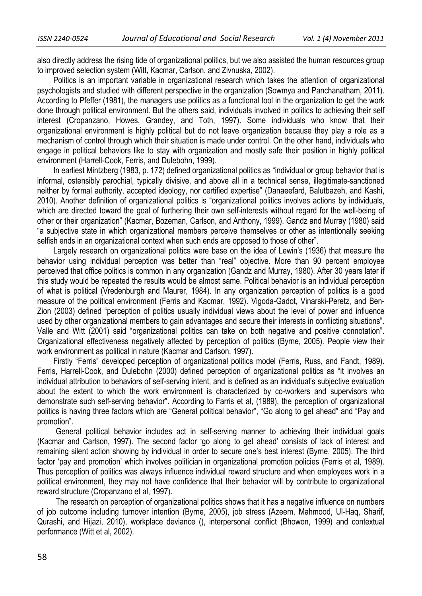also directly address the rising tide of organizational politics, but we also assisted the human resources group to improved selection system (Witt, Kacmar, Carlson, and Zivnuska, 2002).

 Politics is an important variable in organizational research which takes the attention of organizational psychologists and studied with different perspective in the organization (Sowmya and Panchanatham, 2011). According to Pfeffer (1981), the managers use politics as a functional tool in the organization to get the work done through political environment. But the others said, individuals involved in politics to achieving their self interest (Cropanzano, Howes, Grandey, and Toth, 1997). Some individuals who know that their organizational environment is highly political but do not leave organization because they play a role as a mechanism of control through which their situation is made under control. On the other hand, individuals who engage in political behaviors like to stay with organization and mostly safe their position in highly political environment (Harrell-Cook, Ferris, and Dulebohn, 1999).

 In earliest Mintzberg (1983, p. 172) defined organizational politics as "individual or group behavior that is informal, ostensibly parochial, typically divisive, and above all in a technical sense, illegitimate-sanctioned neither by formal authority, accepted ideology, nor certified expertise" (Danaeefard, Balutbazeh, and Kashi, 2010). Another definition of organizational politics is "organizational politics involves actions by individuals, which are directed toward the goal of furthering their own self-interests without regard for the well-being of other or their organization" (Kacmar, Bozeman, Carlson, and Anthony, 1999). Gandz and Murray (1980) said "a subjective state in which organizational members perceive themselves or other as intentionally seeking selfish ends in an organizational context when such ends are opposed to those of other".

 Largely research on organizational politics were base on the idea of Lewin's (1936) that measure the behavior using individual perception was better than "real" objective. More than 90 percent employee perceived that office politics is common in any organization (Gandz and Murray, 1980). After 30 years later if this study would be repeated the results would be almost same. Political behavior is an individual perception of what is political (Vredenburgh and Maurer, 1984). In any organization perception of politics is a good measure of the political environment (Ferris and Kacmar, 1992). Vigoda-Gadot, Vinarski-Peretz, and Ben-Zion (2003) defined "perception of politics usually individual views about the level of power and influence used by other organizational members to gain advantages and secure their interests in conflicting situations". Valle and Witt (2001) said "organizational politics can take on both negative and positive connotation". Organizational effectiveness negatively affected by perception of politics (Byrne, 2005). People view their work environment as political in nature (Kacmar and Carlson, 1997).

 Firstly "Ferris" developed perception of organizational politics model (Ferris, Russ, and Fandt, 1989). Ferris, Harrell-Cook, and Dulebohn (2000) defined perception of organizational politics as "it involves an individual attribution to behaviors of self-serving intent, and is defined as an individual's subjective evaluation about the extent to which the work environment is characterized by co-workers and supervisors who demonstrate such self-serving behavior". According to Farris et al, (1989), the perception of organizational politics is having three factors which are "General political behavior", "Go along to get ahead" and "Pay and promotion".

General political behavior includes act in self-serving manner to achieving their individual goals (Kacmar and Carlson, 1997). The second factor 'go along to get ahead' consists of lack of interest and remaining silent action showing by individual in order to secure one's best interest (Byrne, 2005). The third factor 'pay and promotion' which involves politician in organizational promotion policies (Ferris et al, 1989). Thus perception of politics was always influence individual reward structure and when employees work in a political environment, they may not have confidence that their behavior will by contribute to organizational reward structure (Cropanzano et al, 1997).

The research on perception of organizational politics shows that it has a negative influence on numbers of job outcome including turnover intention (Byrne, 2005), job stress (Azeem, Mahmood, Ul-Haq, Sharif, Qurashi, and Hijazi, 2010), workplace deviance (), interpersonal conflict (Bhowon, 1999) and contextual performance (Witt et al, 2002).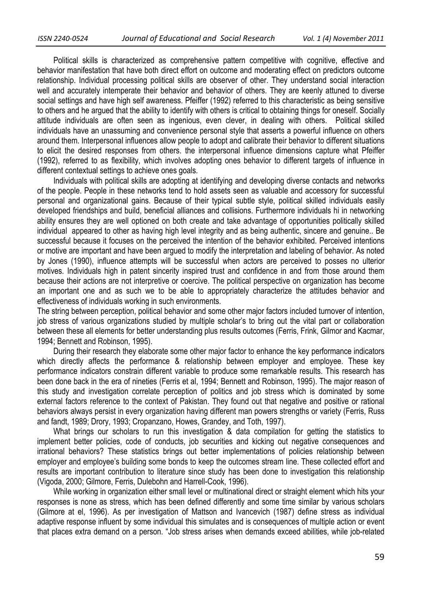Political skills is characterized as comprehensive pattern competitive with cognitive, effective and behavior manifestation that have both direct effort on outcome and moderating effect on predictors outcome relationship. Individual processing political skills are observer of other. They understand social interaction well and accurately intemperate their behavior and behavior of others. They are keenly attuned to diverse social settings and have high self awareness. Pfeiffer (1992) referred to this characteristic as being sensitive to others and he argued that the ability to identify with others is critical to obtaining things for oneself. Socially attitude individuals are often seen as ingenious, even clever, in dealing with others. Political skilled individuals have an unassuming and convenience personal style that asserts a powerful influence on others around them. Interpersonal influences allow people to adopt and calibrate their behavior to different situations to elicit the desired responses from others. the interpersonal influence dimensions capture what Pfeiffer (1992), referred to as flexibility, which involves adopting ones behavior to different targets of influence in different contextual settings to achieve ones goals.

 Individuals with political skills are adopting at identifying and developing diverse contacts and networks of the people. People in these networks tend to hold assets seen as valuable and accessory for successful personal and organizational gains. Because of their typical subtle style, political skilled individuals easily developed friendships and build, beneficial alliances and collisions. Furthermore individuals hi in networking ability ensures they are well optioned on both create and take advantage of opportunities politically skilled individual appeared to other as having high level integrity and as being authentic, sincere and genuine.. Be successful because it focuses on the perceived the intention of the behavior exhibited. Perceived intentions or motive are important and have been argued to modify the interpretation and labeling of behavior. As noted by Jones (1990), influence attempts will be successful when actors are perceived to posses no ulterior motives. Individuals high in patent sincerity inspired trust and confidence in and from those around them because their actions are not interpretive or coercive. The political perspective on organization has become an important one and as such we to be able to appropriately characterize the attitudes behavior and effectiveness of individuals working in such environments.

The string between perception, political behavior and some other major factors included turnover of intention, job stress of various organizations studied by multiple scholar's to bring out the vital part or collaboration between these all elements for better understanding plus results outcomes (Ferris, Frink, Gilmor and Kacmar, 1994; Bennett and Robinson, 1995).

 During their research they elaborate some other major factor to enhance the key performance indicators which directly affects the performance & relationship between employer and employee. These key performance indicators constrain different variable to produce some remarkable results. This research has been done back in the era of nineties (Ferris et al, 1994; Bennett and Robinson, 1995). The major reason of this study and investigation correlate perception of politics and job stress which is dominated by some external factors reference to the context of Pakistan. They found out that negative and positive or rational behaviors always persist in every organization having different man powers strengths or variety (Ferris, Russ and fandt, 1989; Drory, 1993; Cropanzano, Howes, Grandey, and Toth, 1997).

What brings our scholars to run this investigation & data compilation for getting the statistics to implement better policies, code of conducts, job securities and kicking out negative consequences and irrational behaviors? These statistics brings out better implementations of policies relationship between employer and employee's building some bonds to keep the outcomes stream line. These collected effort and results are important contribution to literature since study has been done to investigation this relationship (Vigoda, 2000; Gilmore, Ferris, Dulebohn and Harrell-Cook, 1996).

 While working in organization either small level or multinational direct or straight element which hits your responses is none as stress, which has been defined differently and some time similar by various scholars (Gilmore at el, 1996). As per investigation of Mattson and Ivancevich (1987) define stress as individual adaptive response influent by some individual this simulates and is consequences of multiple action or event that places extra demand on a person. "Job stress arises when demands exceed abilities, while job-related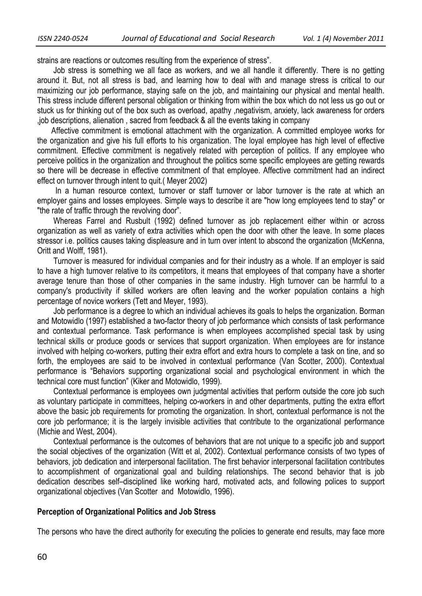strains are reactions or outcomes resulting from the experience of stress".

 Job stress is something we all face as workers, and we all handle it differently. There is no getting around it. But, not all stress is bad, and learning how to deal with and manage stress is critical to our maximizing our job performance, staying safe on the job, and maintaining our physical and mental health. This stress include different personal obligation or thinking from within the box which do not less us go out or stuck us for thinking out of the box such as overload, apathy ,negativism, anxiety, lack awareness for orders ,job descriptions, alienation , sacred from feedback & all the events taking in company

 Affective commitment is emotional attachment with the organization. A committed employee works for the organization and give his full efforts to his organization. The loyal employee has high level of effective commitment. Effective commitment is negatively related with perception of politics. If any employee who perceive politics in the organization and throughout the politics some specific employees are getting rewards so there will be decrease in effective commitment of that employee. Affective commitment had an indirect effect on turnover through intent to quit.( Meyer 2002)

 In a human resource context, turnover or staff turnover or labor turnover is the rate at which an employer gains and losses employees. Simple ways to describe it are "how long employees tend to stay" or "the rate of traffic through the revolving door".

 Whereas Farrel and Rusbult (1992) defined turnover as job replacement either within or across organization as well as variety of extra activities which open the door with other the leave. In some places stressor i.e. politics causes taking displeasure and in turn over intent to abscond the organization (McKenna, Oritt and Wolff, 1981).

 Turnover is measured for individual companies and for their industry as a whole. If an employer is said to have a high turnover relative to its competitors, it means that employees of that company have a shorter average tenure than those of other companies in the same industry. High turnover can be harmful to a company's productivity if skilled workers are often leaving and the worker population contains a high percentage of novice workers (Tett and Meyer, 1993).

 Job performance is a degree to which an individual achieves its goals to helps the organization. Borman and Motowidlo (1997) established a two-factor theory of job performance which consists of task performance and contextual performance. Task performance is when employees accomplished special task by using technical skills or produce goods or services that support organization. When employees are for instance involved with helping co-workers, putting their extra effort and extra hours to complete a task on tine, and so forth, the employees are said to be involved in contextual performance (Van Scotter, 2000). Contextual performance is "Behaviors supporting organizational social and psychological environment in which the technical core must function" (Kiker and Motowidlo, 1999).

 Contextual performance is employees own judgmental activities that perform outside the core job such as voluntary participate in committees, helping co-workers in and other departments, putting the extra effort above the basic job requirements for promoting the organization. In short, contextual performance is not the core job performance; it is the largely invisible activities that contribute to the organizational performance (Michie and West, 2004).

 Contextual performance is the outcomes of behaviors that are not unique to a specific job and support the social objectives of the organization (Witt et al, 2002). Contextual performance consists of two types of behaviors, job dedication and interpersonal facilitation. The first behavior interpersonal facilitation contributes to accomplishment of organizational goal and building relationships. The second behavior that is job dedication describes self–disciplined like working hard, motivated acts, and following polices to support organizational objectives (Van Scotter and Motowidlo, 1996).

#### **Perception of Organizational Politics and Job Stress**

The persons who have the direct authority for executing the policies to generate end results, may face more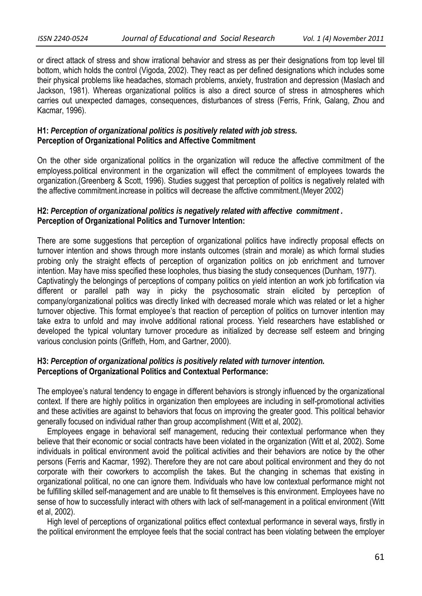or direct attack of stress and show irrational behavior and stress as per their designations from top level till bottom, which holds the control (Vigoda, 2002). They react as per defined designations which includes some their physical problems like headaches, stomach problems, anxiety, frustration and depression (Maslach and Jackson, 1981). Whereas organizational politics is also a direct source of stress in atmospheres which carries out unexpected damages, consequences, disturbances of stress (Ferris, Frink, Galang, Zhou and Kacmar, 1996).

## **H1:** *Perception of organizational politics is positively related with job stress.*  **Perception of Organizational Politics and Affective Commitment**

On the other side organizational politics in the organization will reduce the affective commitment of the employess.political environment in the organization will effect the commitment of employees towards the organization.(Greenberg & Scott, 1996). Studies suggest that perception of politics is negatively related with the affective commitment.increase in politics will decrease the affctive commitment.(Meyer 2002)

# **H2:** *Perception of organizational politics is negatively related with affective commitment .*  **Perception of Organizational Politics and Turnover Intention:**

There are some suggestions that perception of organizational politics have indirectly proposal effects on turnover intention and shows through more instants outcomes (strain and morale) as which formal studies probing only the straight effects of perception of organization politics on job enrichment and turnover intention. May have miss specified these loopholes, thus biasing the study consequences (Dunham, 1977). Captivatingly the belongings of perceptions of company politics on yield intention an work job fortification via different or parallel path way in picky the psychosomatic strain elicited by perception of company/organizational politics was directly linked with decreased morale which was related or let a higher turnover objective. This format employee's that reaction of perception of politics on turnover intention may take extra to unfold and may involve additional rational process. Yield researchers have established or developed the typical voluntary turnover procedure as initialized by decrease self esteem and bringing various conclusion points (Griffeth, Hom, and Gartner, 2000).

# **H3:** *Perception of organizational politics is positively related with turnover intention.*  **Perceptions of Organizational Politics and Contextual Performance:**

The employee's natural tendency to engage in different behaviors is strongly influenced by the organizational context. If there are highly politics in organization then employees are including in self-promotional activities and these activities are against to behaviors that focus on improving the greater good. This political behavior generally focused on individual rather than group accomplishment (Witt et al, 2002).

 Employees engage in behavioral self management, reducing their contextual performance when they believe that their economic or social contracts have been violated in the organization (Witt et al, 2002). Some individuals in political environment avoid the political activities and their behaviors are notice by the other persons (Ferris and Kacmar, 1992). Therefore they are not care about political environment and they do not corporate with their coworkers to accomplish the takes. But the changing in schemas that existing in organizational political, no one can ignore them. Individuals who have low contextual performance might not be fulfilling skilled self-management and are unable to fit themselves is this environment. Employees have no sense of how to successfully interact with others with lack of self-management in a political environment (Witt et al, 2002).

 High level of perceptions of organizational politics effect contextual performance in several ways, firstly in the political environment the employee feels that the social contract has been violating between the employer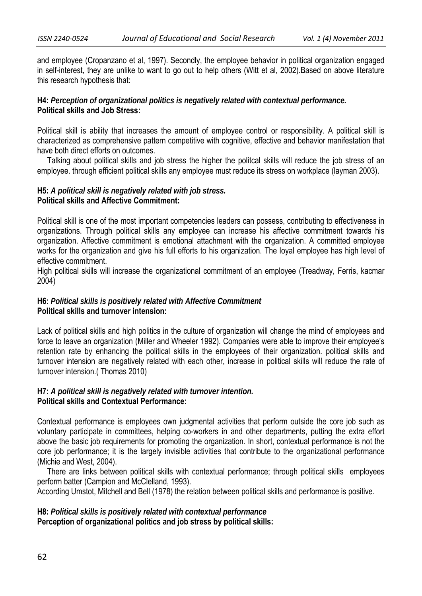and employee (Cropanzano et al, 1997). Secondly, the employee behavior in political organization engaged in self-interest, they are unlike to want to go out to help others (Witt et al, 2002).Based on above literature this research hypothesis that:

### **H4:** *Perception of organizational politics is negatively related with contextual performance.*  **Political skills and Job Stress:**

Political skill is ability that increases the amount of employee control or responsibility. A political skill is characterized as comprehensive pattern competitive with cognitive, effective and behavior manifestation that have both direct efforts on outcomes.

 Talking about political skills and job stress the higher the politcal skills will reduce the job stress of an employee. through efficient political skills any employee must reduce its stress on workplace (layman 2003).

## **H5:** *A political skill is negatively related with job stress.*  **Political skills and Affective Commitment:**

Political skill is one of the most important competencies leaders can possess, contributing to effectiveness in organizations. Through political skills any employee can increase his affective commitment towards his organization. Affective commitment is emotional attachment with the organization. A committed employee works for the organization and give his full efforts to his organization. The loyal employee has high level of effective commitment.

High political skills will increase the organizational commitment of an employee (Treadway, Ferris, kacmar 2004)

## **H6:** *Political skills is positively related with Affective Commitment* **Political skills and turnover intension:**

Lack of political skills and high politics in the culture of organization will change the mind of employees and force to leave an organization (Miller and Wheeler 1992). Companies were able to improve their employee's retention rate by enhancing the political skills in the employees of their organization. political skills and turnover intension are negatively related with each other, increase in political skills will reduce the rate of turnover intension.( Thomas 2010)

### **H7:** *A political skill is negatively related with turnover intention.* **Political skills and Contextual Performance:**

Contextual performance is employees own judgmental activities that perform outside the core job such as voluntary participate in committees, helping co-workers in and other departments, putting the extra effort above the basic job requirements for promoting the organization. In short, contextual performance is not the core job performance; it is the largely invisible activities that contribute to the organizational performance (Michie and West, 2004).

 There are links between political skills with contextual performance; through political skills employees perform batter (Campion and McClelland, 1993).

According Umstot, Mitchell and Bell (1978) the relation between political skills and performance is positive.

## **H8:** *Political skills is positively related with contextual performance*  **Perception of organizational politics and job stress by political skills:**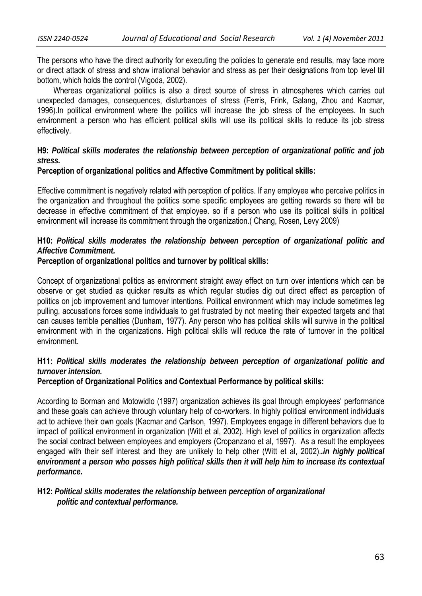The persons who have the direct authority for executing the policies to generate end results, may face more or direct attack of stress and show irrational behavior and stress as per their designations from top level till bottom, which holds the control (Vigoda, 2002).

 Whereas organizational politics is also a direct source of stress in atmospheres which carries out unexpected damages, consequences, disturbances of stress (Ferris, Frink, Galang, Zhou and Kacmar, 1996).In political environment where the politics will increase the job stress of the employees. In such environment a person who has efficient political skills will use its political skills to reduce its job stress effectively.

## **H9:** *Political skills moderates the relationship between perception of organizational politic and job stress.*

### **Perception of organizational politics and Affective Commitment by political skills:**

Effective commitment is negatively related with perception of politics. If any employee who perceive politics in the organization and throughout the politics some specific employees are getting rewards so there will be decrease in effective commitment of that employee. so if a person who use its political skills in political environment will increase its commitment through the organization.( Chang, Rosen, Levy 2009)

## **H10:** *Political skills moderates the relationship between perception of organizational politic and Affective Commitment.*

### **Perception of organizational politics and turnover by political skills:**

Concept of organizational politics as environment straight away effect on turn over intentions which can be observe or get studied as quicker results as which regular studies dig out direct effect as perception of politics on job improvement and turnover intentions. Political environment which may include sometimes leg pulling, accusations forces some individuals to get frustrated by not meeting their expected targets and that can causes terrible penalties (Dunham, 1977). Any person who has political skills will survive in the political environment with in the organizations. High political skills will reduce the rate of turnover in the political environment.

## **H11:** *Political skills moderates the relationship between perception of organizational politic and turnover intension.*

### **Perception of Organizational Politics and Contextual Performance by political skills:**

According to Borman and Motowidlo (1997) organization achieves its goal through employees' performance and these goals can achieve through voluntary help of co-workers. In highly political environment individuals act to achieve their own goals (Kacmar and Carlson, 1997). Employees engage in different behaviors due to impact of political environment in organization (Witt et al, 2002). High level of politics in organization affects the social contract between employees and employers (Cropanzano et al, 1997). As a result the employees engaged with their self interest and they are unlikely to help other (Witt et al, 2002).*.in highly political environment a person who posses high political skills then it will help him to increase its contextual performance.* 

### **H12:** *Political skills moderates the relationship between perception of organizational politic and contextual performance.*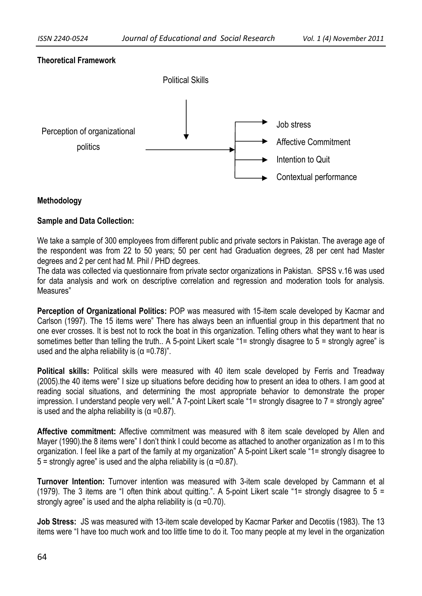# **Theoretical Framework**



# **Methodology**

# **Sample and Data Collection:**

We take a sample of 300 employees from different public and private sectors in Pakistan. The average age of the respondent was from 22 to 50 years; 50 per cent had Graduation degrees, 28 per cent had Master degrees and 2 per cent had M. Phil / PHD degrees.

The data was collected via questionnaire from private sector organizations in Pakistan. SPSS v.16 was used for data analysis and work on descriptive correlation and regression and moderation tools for analysis. Measures"

**Perception of Organizational Politics:** POP was measured with 15-item scale developed by Kacmar and Carlson (1997). The 15 items were" There has always been an influential group in this department that no one ever crosses. It is best not to rock the boat in this organization. Telling others what they want to hear is sometimes better than telling the truth.. A 5-point Likert scale "1= strongly disagree to 5 = strongly agree" is used and the alpha reliability is  $(\alpha = 0.78)$ ".

**Political skills:** Political skills were measured with 40 item scale developed by Ferris and Treadway (2005).the 40 items were" I size up situations before deciding how to present an idea to others. I am good at reading social situations, and determining the most appropriate behavior to demonstrate the proper impression. I understand people very well." A 7-point Likert scale "1= strongly disagree to 7 = strongly agree" is used and the alpha reliability is  $(α = 0.87)$ .

**Affective commitment:** Affective commitment was measured with 8 item scale developed by Allen and Mayer (1990).the 8 items were" I don't think I could become as attached to another organization as I m to this organization. I feel like a part of the family at my organization" A 5-point Likert scale "1= strongly disagree to 5 = strongly agree" is used and the alpha reliability is (α =0.87).

**Turnover Intention:** Turnover intention was measured with 3-item scale developed by Cammann et al (1979). The 3 items are "I often think about quitting.". A 5-point Likert scale "1= strongly disagree to 5 = strongly agree" is used and the alpha reliability is ( $\alpha$  =0.70).

**Job Stress:** JS was measured with 13-item scale developed by Kacmar Parker and Decotiis (1983). The 13 items were "I have too much work and too little time to do it. Too many people at my level in the organization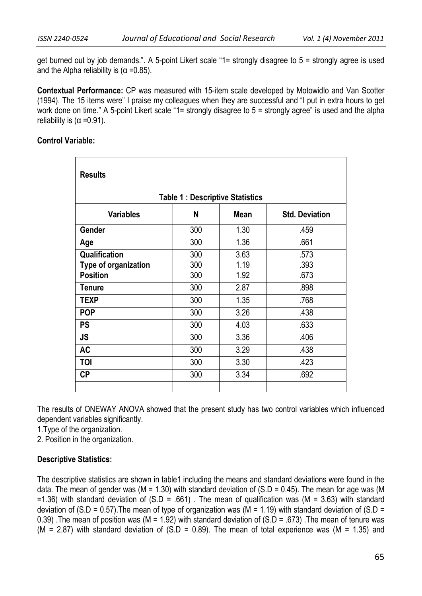get burned out by job demands.". A 5-point Likert scale "1= strongly disagree to 5 = strongly agree is used and the Alpha reliability is  $(\alpha = 0.85)$ .

**Contextual Performance:** CP was measured with 15-item scale developed by Motowidlo and Van Scotter (1994). The 15 items were" I praise my colleagues when they are successful and "I put in extra hours to get work done on time." A 5-point Likert scale "1= strongly disagree to 5 = strongly agree" is used and the alpha reliability is  $(α = 0.91)$ .

## **Control Variable:**

| <b>Results</b>                         |                       |      |      |  |  |  |  |  |  |  |  |
|----------------------------------------|-----------------------|------|------|--|--|--|--|--|--|--|--|
| <b>Table 1: Descriptive Statistics</b> |                       |      |      |  |  |  |  |  |  |  |  |
| <b>Variables</b>                       | <b>Std. Deviation</b> |      |      |  |  |  |  |  |  |  |  |
| Gender                                 | 300                   | 1.30 | .459 |  |  |  |  |  |  |  |  |
| Age                                    | 300                   | 1.36 | .661 |  |  |  |  |  |  |  |  |
| Qualification                          | 300                   | 3.63 | .573 |  |  |  |  |  |  |  |  |
| Type of organization                   | 300                   | 1.19 | .393 |  |  |  |  |  |  |  |  |
| <b>Position</b>                        | 300                   | 1.92 | .673 |  |  |  |  |  |  |  |  |
| <b>Tenure</b>                          | 300                   | 2.87 | .898 |  |  |  |  |  |  |  |  |
| <b>TEXP</b>                            | 300                   | 1.35 | .768 |  |  |  |  |  |  |  |  |
| <b>POP</b>                             | 300                   | 3.26 | .438 |  |  |  |  |  |  |  |  |
| <b>PS</b>                              | 300                   | 4.03 | .633 |  |  |  |  |  |  |  |  |
| <b>JS</b>                              | 300                   | 3.36 | .406 |  |  |  |  |  |  |  |  |
| <b>AC</b>                              | 300                   | 3.29 | .438 |  |  |  |  |  |  |  |  |
| TOI                                    | 300                   | 3.30 | .423 |  |  |  |  |  |  |  |  |
| <b>CP</b>                              | 300                   | 3.34 | .692 |  |  |  |  |  |  |  |  |
|                                        |                       |      |      |  |  |  |  |  |  |  |  |

The results of ONEWAY ANOVA showed that the present study has two control variables which influenced dependent variables significantly.

1.Type of the organization.

2. Position in the organization.

## **Descriptive Statistics:**

The descriptive statistics are shown in table1 including the means and standard deviations were found in the data. The mean of gender was (M = 1.30) with standard deviation of (S.D = 0.45). The mean for age was (M  $=1.36$ ) with standard deviation of (S.D = .661). The mean of qualification was (M = 3.63) with standard deviation of (S.D = 0.57). The mean of type of organization was (M = 1.19) with standard deviation of (S.D = 0.39) .The mean of position was (M = 1.92) with standard deviation of (S.D = .673) .The mean of tenure was (M = 2.87) with standard deviation of  $(S.D = 0.89)$ . The mean of total experience was (M = 1.35) and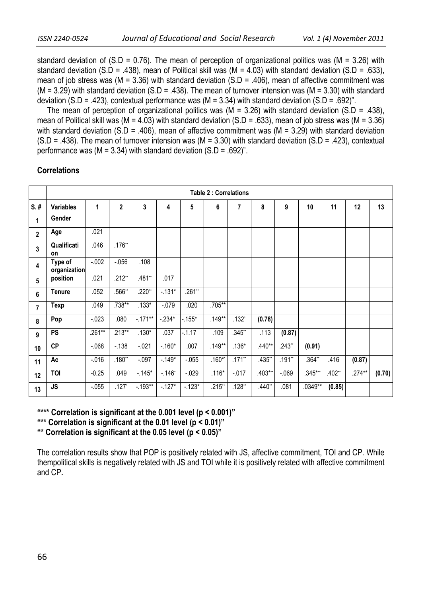standard deviation of  $(S.D = 0.76)$ . The mean of perception of organizational politics was (M = 3.26) with standard deviation (S.D = .438), mean of Political skill was (M = 4.03) with standard deviation (S.D = .633), mean of job stress was (M = 3.36) with standard deviation (S.D = .406), mean of affective commitment was (M = 3.29) with standard deviation (S.D = .438). The mean of turnover intension was (M = 3.30) with standard deviation (S.D = .423), contextual performance was (M =  $3.34$ ) with standard deviation (S.D = .692)".

The mean of perception of organizational politics was ( $M = 3.26$ ) with standard deviation (S.D = .438), mean of Political skill was (M = 4.03) with standard deviation (S.D = .633), mean of job stress was (M = 3.36) with standard deviation (S.D = .406), mean of affective commitment was (M = 3.29) with standard deviation  $(S.D = .438)$ . The mean of turnover intension was (M = 3.30) with standard deviation (S.D = .423), contextual performance was ( $M = 3.34$ ) with standard deviation ( $S.D = .692$ )".

|                | <b>Table 2: Correlations</b> |          |                |            |            |          |                |          |          |          |           |        |        |        |
|----------------|------------------------------|----------|----------------|------------|------------|----------|----------------|----------|----------|----------|-----------|--------|--------|--------|
| $S.$ #         | <b>Variables</b>             | 1        | $\overline{2}$ | 3          | 4          | 5        | $6\phantom{1}$ | 7        | 8        | 9        | 10        | 11     | 12     | 13     |
| 1              | Gender                       |          |                |            |            |          |                |          |          |          |           |        |        |        |
| $\overline{2}$ | Age                          | .021     |                |            |            |          |                |          |          |          |           |        |        |        |
| 3              | Qualificati<br>on            | .046     | $.176**$       |            |            |          |                |          |          |          |           |        |        |        |
| 4              | Type of<br>organization      | $-0.002$ | $-0.056$       | .108       |            |          |                |          |          |          |           |        |        |        |
| 5              | position                     | .021     | $.212**$       | .481**     | .017       |          |                |          |          |          |           |        |        |        |
| 6              | <b>Tenure</b>                | .052     | .566**         | $.220**$   | $-131*$    | $.261**$ |                |          |          |          |           |        |        |        |
| 7              | <b>Texp</b>                  | .049     | $.738**$       | $.133*$    | $-.079$    | .020     | .705**         |          |          |          |           |        |        |        |
| 8              | Pop                          | $-023$   | .080           | $-171**$   | $-.234*$   | $-.155*$ | $.149**$       | $.132*$  | (0.78)   |          |           |        |        |        |
| 9              | <b>PS</b>                    | $.261**$ | $.213**$       | $.130*$    | .037       | $-0.17$  | .109           | .345**   | .113     | (0.87)   |           |        |        |        |
| 10             | CP                           | $-068$   | $-138$         | $-021$     | $-160*$    | .007     | $.149**$       | $.136*$  | $.440**$ | $.243**$ | (0.91)    |        |        |        |
| 11             | Ac                           | $-0.016$ | .180"          | $-.097$    | $-149*$    | $-0.055$ | $.160**$       | $.171**$ | .435**   | .191**   | .364**    | .416   | (0.87) |        |
| 12             | <b>TOI</b>                   | $-0.25$  | .049           | $-145*$    | $-0.146$ * | $-029$   | $.116*$        | $-017$   | .403***  | $-069$   | $.345***$ | .402** | .274** | (0.70) |
| 13             | <b>JS</b>                    | $-0.055$ | $.127*$        | $-0.193**$ | $-127*$    | $-123*$  | $.215**$       | $.128**$ | .440**   | .081     | .0349**   | (0.85) |        |        |

#### **Correlations**

**"\*\*\* Correlation is significant at the 0.001 level (p < 0.001)"** 

**"\*\* Correlation is significant at the 0.01 level (p < 0.01)"** 

**"\* Correlation is significant at the 0.05 level (p < 0.05)"** 

The correlation results show that POP is positively related with JS, affective commitment, TOI and CP. While thempolitical skills is negatively related with JS and TOI while it is positively related with affective commitment and CP**.**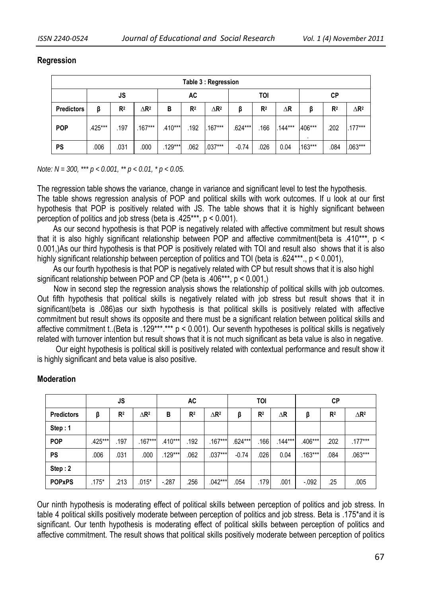### **Regression**

| Table 3 : Regression |         |                |                         |           |                |                         |         |                |            |         |                |                         |  |
|----------------------|---------|----------------|-------------------------|-----------|----------------|-------------------------|---------|----------------|------------|---------|----------------|-------------------------|--|
|                      |         | JS             |                         | AC        |                |                         |         | TOI            | <b>CP</b>  |         |                |                         |  |
| <b>Predictors</b>    | β       | R <sup>2</sup> | $\Delta$ R <sup>2</sup> | В         | R <sup>2</sup> | $\Delta$ R <sup>2</sup> | β       | R <sup>2</sup> | $\Delta$ R | ß       | R <sup>2</sup> | $\Delta$ R <sup>2</sup> |  |
| <b>POP</b>           | .425*** | .197           | $.167***$               | $.410***$ | .192           | .167***                 | .624*** | .166           | $.144***$  | .406*** | .202           | $.177***$               |  |
| <b>PS</b>            | .006    | .031           | .000                    | $.129***$ | .062           | .037***                 | $-0.74$ | .026           | 0.04       | .163*** | .084           | .063***                 |  |

*Note: N = 300, \*\*\* p < 0.001, \*\* p < 0.01, \* p < 0.05.* 

The regression table shows the variance, change in variance and significant level to test the hypothesis. The table shows regression analysis of POP and political skills with work outcomes. If u look at our first hypothesis that POP is positively related with JS. The table shows that it is highly significant between perception of politics and job stress (beta is .425\*\*\*, p < 0.001).

 As our second hypothesis is that POP is negatively related with affective commitment but result shows that it is also highly significant relationship between POP and affective commitment(beta is .410\*\*\*, p < 0.001,)As our third hypothesis is that POP is positively related with TOI and result also shows that it is also highly significant relationship between perception of politics and TOI (beta is .624\*\*\*, p < 0.001),

 As our fourth hypothesis is that POP is negatively related with CP but result shows that it is also highl significant relationship between POP and CP (beta is .406\*\*\*, p < 0.001,)

 Now in second step the regression analysis shows the relationship of political skills with job outcomes. Out fifth hypothesis that political skills is negatively related with job stress but result shows that it in significant(beta is .086)as our sixth hypothesis is that political skills is positively related with affective commitment but result shows its opposite and there must be a significant relation between political skills and affective commitment t. (Beta is .129\*\*\*.\*\*\* p < 0.001). Our seventh hypotheses is political skills is negatively related with turnover intention but result shows that it is not much significant as beta value is also in negative.

 Our eight hypothesis is political skill is positively related with contextual performance and result show it is highly significant and beta value is also positive.

|                   | <b>JS</b> |                |                         | AC        |                |                         |         | TOI            |            | CP        |                |                         |
|-------------------|-----------|----------------|-------------------------|-----------|----------------|-------------------------|---------|----------------|------------|-----------|----------------|-------------------------|
| <b>Predictors</b> | β         | R <sup>2</sup> | $\Delta$ R <sup>2</sup> | В         | R <sup>2</sup> | $\Delta$ R <sup>2</sup> | β       | R <sup>2</sup> | $\Delta$ R | β         | R <sup>2</sup> | $\Delta$ R <sup>2</sup> |
| Step: 1           |           |                |                         |           |                |                         |         |                |            |           |                |                         |
| <b>POP</b>        | .425***   | .197           | $.167***$               | $.410***$ | 192            | $.167***$               | .624*** | .166           | $.144***$  | .406***   | .202           | $.177***$               |
| <b>PS</b>         | .006      | .031           | .000                    | $.129***$ | .062           | $.037***$               | $-0.74$ | .026           | 0.04       | $.163***$ | .084           | $.063***$               |
| Step: 2           |           |                |                         |           |                |                         |         |                |            |           |                |                         |
| <b>POPxPS</b>     | $.175*$   | .213           | $.015*$                 | $-.287$   | .256           | $.042***$               | .054    | .179           | .001       | $-0.092$  | .25            | .005                    |

## **Moderation**

 Our ninth hypothesis is moderating effect of political skills between perception of politics and job stress. In table 4 political skills positively moderate between perception of politics and job stress. Beta is .175\*and it is significant. Our tenth hypothesis is moderating effect of political skills between perception of politics and affective commitment. The result shows that political skills positively moderate between perception of politics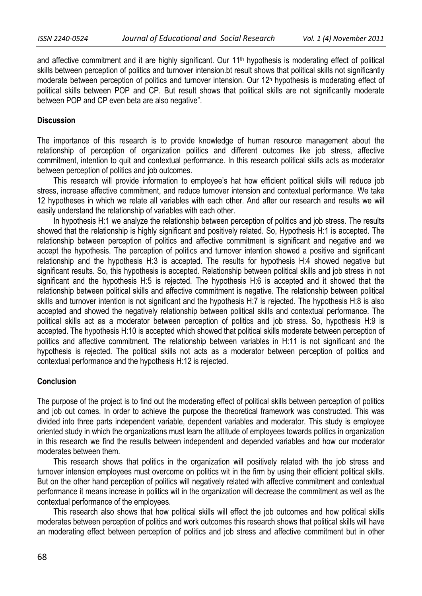and affective commitment and it are highly significant. Our 11<sup>th</sup> hypothesis is moderating effect of political skills between perception of politics and turnover intension.bt result shows that political skills not significantly moderate between perception of politics and turnover intension. Our 12h hypothesis is moderating effect of political skills between POP and CP. But result shows that political skills are not significantly moderate between POP and CP even beta are also negative".

### **Discussion**

The importance of this research is to provide knowledge of human resource management about the relationship of perception of organization politics and different outcomes like job stress, affective commitment, intention to quit and contextual performance. In this research political skills acts as moderator between perception of politics and job outcomes.

 This research will provide information to employee's hat how efficient political skills will reduce job stress, increase affective commitment, and reduce turnover intension and contextual performance. We take 12 hypotheses in which we relate all variables with each other. And after our research and results we will easily understand the relationship of variables with each other.

In hypothesis H:1 we analyze the relationship between perception of politics and job stress. The results showed that the relationship is highly significant and positively related. So, Hypothesis H:1 is accepted. The relationship between perception of politics and affective commitment is significant and negative and we accept the hypothesis. The perception of politics and turnover intention showed a positive and significant relationship and the hypothesis H:3 is accepted. The results for hypothesis H:4 showed negative but significant results. So, this hypothesis is accepted. Relationship between political skills and job stress in not significant and the hypothesis H:5 is rejected. The hypothesis H:6 is accepted and it showed that the relationship between political skills and affective commitment is negative. The relationship between political skills and turnover intention is not significant and the hypothesis H:7 is rejected. The hypothesis H:8 is also accepted and showed the negatively relationship between political skills and contextual performance. The political skills act as a moderator between perception of politics and job stress. So, hypothesis H:9 is accepted. The hypothesis H:10 is accepted which showed that political skills moderate between perception of politics and affective commitment. The relationship between variables in H:11 is not significant and the hypothesis is rejected. The political skills not acts as a moderator between perception of politics and contextual performance and the hypothesis H:12 is rejected.

#### **Conclusion**

The purpose of the project is to find out the moderating effect of political skills between perception of politics and job out comes. In order to achieve the purpose the theoretical framework was constructed. This was divided into three parts independent variable, dependent variables and moderator. This study is employee oriented study in which the organizations must learn the attitude of employees towards politics in organization in this research we find the results between independent and depended variables and how our moderator moderates between them.

 This research shows that politics in the organization will positively related with the job stress and turnover intension employees must overcome on politics wit in the firm by using their efficient political skills. But on the other hand perception of politics will negatively related with affective commitment and contextual performance it means increase in politics wit in the organization will decrease the commitment as well as the contextual performance of the employees.

 This research also shows that how political skills will effect the job outcomes and how political skills moderates between perception of politics and work outcomes this research shows that political skills will have an moderating effect between perception of politics and job stress and affective commitment but in other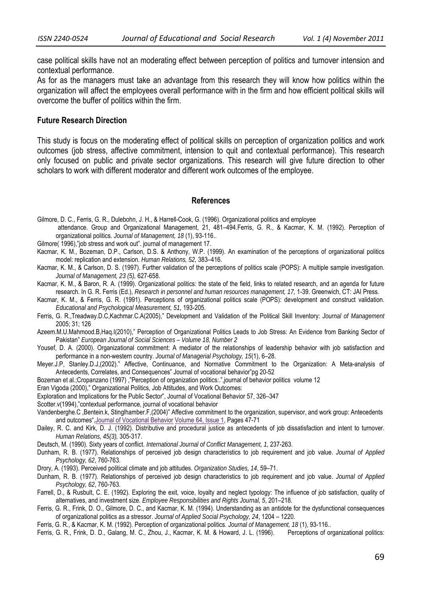case political skills have not an moderating effect between perception of politics and turnover intension and contextual performance.

As for as the managers must take an advantage from this research they will know how politics within the organization will affect the employees overall performance with in the firm and how efficient political skills will overcome the buffer of politics within the firm.

#### **Future Research Direction**

This study is focus on the moderating effect of political skills on perception of organization politics and work outcomes (job stress, affective commitment, intension to quit and contextual performance). This research only focused on public and private sector organizations. This research will give future direction to other scholars to work with different moderator and different work outcomes of the employee.

#### **References**

- Gilmore, D. C., Ferris, G. R., Dulebohn, J. H., & Harrell-Cook, G. (1996). Organizational politics and employee attendance. Group and Organizational Management, 21, 481–494.Ferris, G. R., & Kacmar, K. M. (1992). Perception of organizational politics. *Journal of Management, 18* (1), 93-116..
- Gilmore( 1996),"job stress and work out". journal of management 17.
- Kacmar, K. M., Bozeman, D.P., Carlson, D.S. & Anthony, W.P. (1999). An examination of the perceptions of organizational politics model: replication and extension. *Human Relations, 52,* 383–416.
- Kacmar, K. M., & Carlson, D. S. (1997). Further validation of the perceptions of politics scale (POPS): A multiple sample investigation. *Journal of Management, 23 (5),* 627-658.
- Kacmar, K. M., & Baron, R. A. (1999). Organizational politics: the state of the field, links to related research, and an agenda for future research. In G. R. Ferris (Ed.), *Research in personnel and human resources management, 17,* 1-39. Greenwich, CT: JAI Press.
- Kacmar, K. M., & Ferris, G. R. (1991). Perceptions of organizational politics scale (POPS): development and construct validation. *Educational and Psychological Measurement, 51,* 193-205.
- Ferris, G. R.,Treadway.D.C,Kachmar.C.A(2005)," Development and Validation of the Political Skill Inventory: *Journal of Management*  2005; 31; 126
- Azeem.M.U.Mahmood.B,Haq.I(2010)," Perception of Organizational Politics Leads to Job Stress: An Evidence from Banking Sector of Pakistan" *European Journal of Social Sciences – Volume 18, Number 2*
- Yousef, D. A. (2000). Organizational commitment: A mediator of the relationships of leadership behavior with job satisfaction and performance in a non-western country. *Journal of Managerial Psychology, 15*(1), 6–28.
- Meyer.J.P, Stanley.D.J,(2002)." Affective, Continuance, and Normative Commitment to the Organization: A Meta-analysis of Antecedents, Correlates, and Consequences" Journal of vocational behavior"pg 20-52
- Bozeman et al.;Cropanzano (1997) ,"Perception of organization politics:.",journal of behavior politics volume 12
- Eran Vigoda (2000)," Organizational Politics, Job Attitudes, and Work Outcomes:
- Exploration and Implications for the Public Sector", Journal of Vocational Behavior 57, 326–347
- Scotter.v(1994),"contextual performance, journal of vocational behavior
- Vandenberghe.C ,Bentein.k, Stinglhamber.F,(2004)" Affective commitment to the organization, supervisor, and work group: Antecedents and outcomes",Journal of Vocational Behavior Volume 64, Issue 1, Pages 47-71
- Dailey, R. C. and Kirk, D. J. (1992). Distributive and procedural justice as antecedents of job dissatisfaction and intent to turnover. *Human Relations, 45(3),* 305-317.
- Deutsch, M. (1990). Sixty years of conflict. *International Journal of Conflict Management, 1,* 237-263.
- Dunham, R. B. (1977). Relationships of perceived job design characteristics to job requirement and job value. *Journal of Applied Psychology, 62*, 760-763.
- Drory, A. (1993). Perceived political climate and job attitudes. *Organization Studies, 14*, 59–71.
- Dunham, R. B. (1977). Relationships of perceived job design characteristics to job requirement and job value. *Journal of Applied Psychology, 62*, 760-763.
- Farrell, D., & Rusbult, C. E. (1992). Exploring the exit, voice, loyalty and neglect typology: The influence of job satisfaction, quality of alternatives, and investment size*. Employee Responsibilities and Rights Journal, 5*, 201–218.
- Ferris, G. R., Frink, D. O., Gilmore, D. C., and Kacmar, K. M. (1994). Understanding as an antidote for the dysfunctional consequences of organizational politics as a stressor. *Journal of Applied Social Psychology, 24*, 1204 – 1220.
- Ferris, G. R., & Kacmar, K. M. (1992). Perception of organizational politics. *Journal of Management, 18* (1), 93-116..
- Ferris, G. R., Frink, D. D., Galang, M. C., Zhou, J., Kacmar, K. M. & Howard, J. L. (1996). Perceptions of organizational politics: